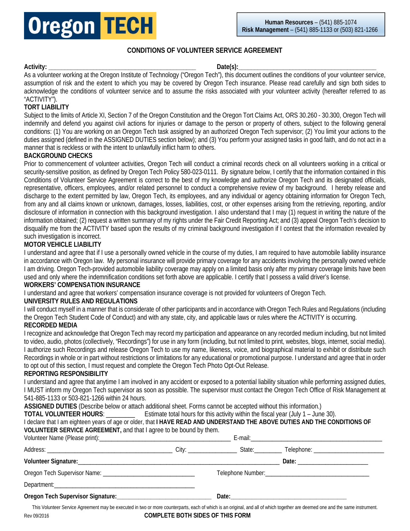

# **CONDITIONS OF VOLUNTEER SERVICE AGREEMENT**

**Activity: \_\_\_\_\_\_\_\_\_\_\_\_\_\_\_\_\_\_\_\_\_\_\_\_\_\_\_\_\_\_\_\_\_\_\_\_\_\_\_\_\_\_\_\_\_\_ Date(s):\_\_\_\_\_\_\_\_\_\_\_\_\_\_\_\_\_\_\_\_\_\_\_\_\_\_\_\_\_\_\_\_\_\_\_\_\_\_\_\_\_\_\_**

As a volunteer working at the Oregon Institute of Technology ("Oregon Tech"), this document outlines the conditions of your volunteer service, assumption of risk and the extent to which you may be covered by Oregon Tech insurance. Please read carefully and sign both sides to acknowledge the conditions of volunteer service and to assume the risks associated with your volunteer activity (hereafter referred to as "ACTIVITY").

# **TORT LIABILITY**

Subject to the limits of Article XI, Section 7 of the Oregon Constitution and the Oregon Tort Claims Act, ORS 30.260 - 30.300, Oregon Tech will indemnify and defend you against civil actions for injuries or damage to the person or property of others, subject to the following general conditions: (1) You are working on an Oregon Tech task assigned by an authorized Oregon Tech supervisor; (2) You limit your actions to the duties assigned (defined in the ASSIGNED DUTIES section below); and (3) You perform your assigned tasks in good faith, and do not act in a manner that is reckless or with the intent to unlawfully inflict harm to others.

#### **BACKGROUND CHECKS**

Prior to commencement of volunteer activities, Oregon Tech will conduct a criminal records check on all volunteers working in a critical or security-sensitive position, as defined by Oregon Tech Policy 580-023-0111. By signature below, I certify that the information contained in this Conditions of Volunteer Service Agreement is correct to the best of my knowledge and authorize Oregon Tech and its designated officials, representative, officers, employees, and/or related personnel to conduct a comprehensive review of my background. I hereby release and discharge to the extent permitted by law, Oregon Tech, its employees, and any individual or agency obtaining information for Oregon Tech, from any and all claims known or unknown, damages, losses, liabilities, cost, or other expenses arising from the retrieving, reporting, and/or disclosure of information in connection with this background investigation. I also understand that I may (1) request in writing the nature of the information obtained; (2) request a written summary of my rights under the Fair Credit Reporting Act; and (3) appeal Oregon Tech's decision to disqualify me from the ACTIVITY based upon the results of my criminal background investigation if I contest that the information revealed by such investigation is incorrect.

## **MOTOR VEHICLE LIABILITY**

I understand and agree that if I use a personally owned vehicle in the course of my duties, I am required to have automobile liability insurance in accordance with Oregon law. My personal insurance will provide primary coverage for any accidents involving the personally owned vehicle I am driving. Oregon Tech-provided automobile liability coverage may apply on a limited basis only after my primary coverage limits have been used and only where the indemnification conditions set forth above are applicable. I certify that I possess a valid driver's license.

#### **WORKERS' COMPENSATION INSURANCE**

I understand and agree that workers' compensation insurance coverage is not provided for volunteers of Oregon Tech.

#### **UNIVERSITY RULES AND REGULATIONS**

I will conduct myself in a manner that is considerate of other participants and in accordance with Oregon Tech Rules and Regulations (including the Oregon Tech Student Code of Conduct) and with any state, city, and applicable laws or rules where the ACTIVITY is occurring. **RECORDED MEDIA** 

I recognize and acknowledge that Oregon Tech may record my participation and appearance on any recorded medium including, but not limited to video, audio, photos (collectively, "Recordings") for use in any form (including, but not limited to print, websites, blogs, internet, social media). I authorize such Recordings and release Oregon Tech to use my name, likeness, voice, and biographical material to exhibit or distribute such Recordings in whole or in part without restrictions or limitations for any educational or promotional purpose. I understand and agree that in order to opt out of this section, I must request and complete the Oregon Tech Photo Opt-Out Release.

#### **REPORTING RESPONSIBILITY**

I understand and agree that anytime I am involved in any accident or exposed to a potential liability situation while performing assigned duties, I MUST inform my Oregon Tech supervisor as soon as possible. The supervisor must contact the Oregon Tech Office of Risk Management at 541-885-1133 or 503-821-1266 within 24 hours.

**ASSIGNED DUTIES** (Describe below or attach additional sheet. Forms cannot be accepted without this information.)

**TOTAL VOLUNTEER HOURS**: \_\_\_\_\_\_\_\_\_ Estimate total hours for this activity within the fiscal year (July 1 – June 30).

| I declare that I am eighteen years of age or older, that I HAVE READ AND UNDERSTAND THE ABOVE DUTIES AND THE CONDITIONS OF<br>VOLUNTEER SERVICE AGREEMENT, and that I agree to be bound by them. |  |                                |
|--------------------------------------------------------------------------------------------------------------------------------------------------------------------------------------------------|--|--------------------------------|
|                                                                                                                                                                                                  |  |                                |
|                                                                                                                                                                                                  |  |                                |
|                                                                                                                                                                                                  |  | Date: ________________________ |
|                                                                                                                                                                                                  |  |                                |
|                                                                                                                                                                                                  |  |                                |
|                                                                                                                                                                                                  |  |                                |

Rev 09/2016 **COMPLETE BOTH SIDES OF THIS FORM** This Volunteer Service Agreement may be executed in two or more counterparts, each of which is an original, and all of which together are deemed one and the same instrument.